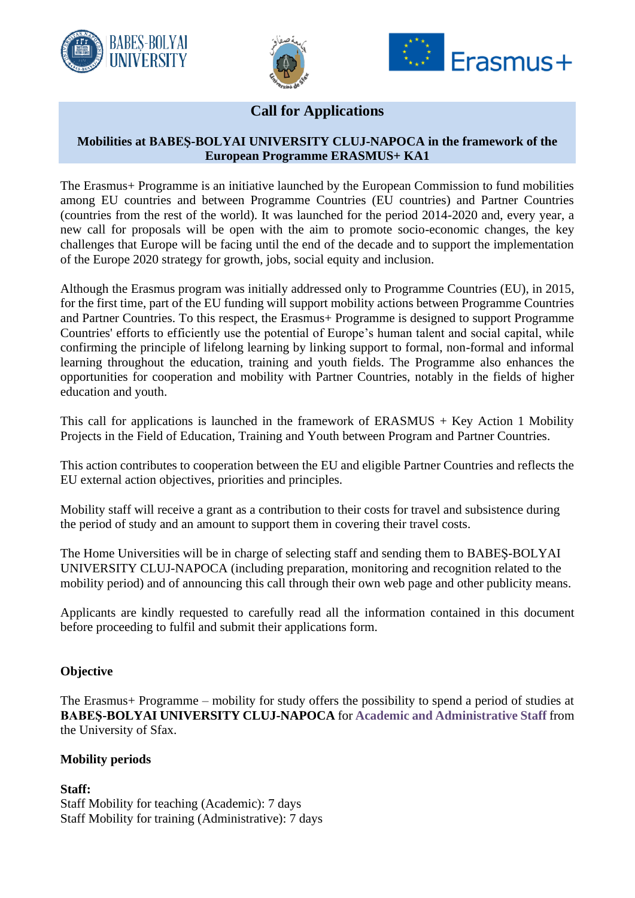





# **Call for Applications**

## **Mobilities at BABEŞ-BOLYAI UNIVERSITY CLUJ-NAPOCA in the framework of the European Programme ERASMUS+ KA1**

The Erasmus+ Programme is an initiative launched by the European Commission to fund mobilities among EU countries and between Programme Countries (EU countries) and Partner Countries (countries from the rest of the world). It was launched for the period 2014-2020 and, every year, a new call for proposals will be open with the aim to promote socio-economic changes, the key challenges that Europe will be facing until the end of the decade and to support the implementation of the Europe 2020 strategy for growth, jobs, social equity and inclusion.

Although the Erasmus program was initially addressed only to Programme Countries (EU), in 2015, for the first time, part of the EU funding will support mobility actions between Programme Countries and Partner Countries. To this respect, the Erasmus+ Programme is designed to support Programme Countries' efforts to efficiently use the potential of Europe's human talent and social capital, while confirming the principle of lifelong learning by linking support to formal, non-formal and informal learning throughout the education, training and youth fields. The Programme also enhances the opportunities for cooperation and mobility with Partner Countries, notably in the fields of higher education and youth.

This call for applications is launched in the framework of  $ERASMUS + Key$  Action 1 Mobility Projects in the Field of Education, Training and Youth between Program and Partner Countries.

This action contributes to cooperation between the EU and eligible Partner Countries and reflects the EU external action objectives, priorities and principles.

Mobility staff will receive a grant as a contribution to their costs for travel and subsistence during the period of study and an amount to support them in covering their travel costs.

The Home Universities will be in charge of selecting staff and sending them to BABEŞ-BOLYAI UNIVERSITY CLUJ-NAPOCA (including preparation, monitoring and recognition related to the mobility period) and of announcing this call through their own web page and other publicity means.

Applicants are kindly requested to carefully read all the information contained in this document before proceeding to fulfil and submit their applications form.

### **Objective**

The Erasmus+ Programme – mobility for study offers the possibility to spend a period of studies at **BABEŞ-BOLYAI UNIVERSITY CLUJ-NAPOCA** for **Academic and Administrative Staff** from the University of Sfax.

### **Mobility periods**

**Staff:** Staff Mobility for teaching (Academic): 7 days Staff Mobility for training (Administrative): 7 days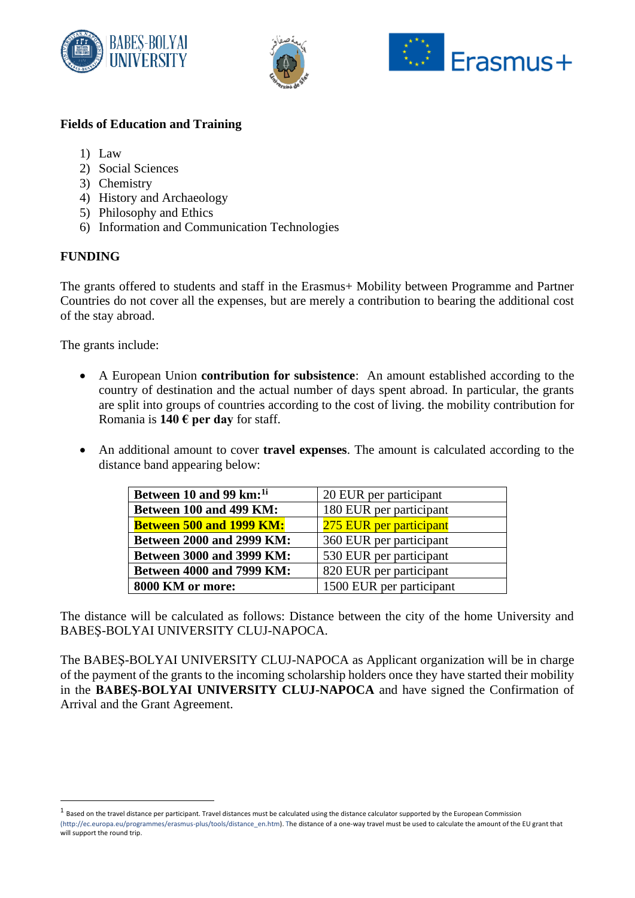





## **Fields of Education and Training**

- 1) Law
- 2) Social Sciences
- 3) Chemistry
- 4) History and Archaeology
- 5) Philosophy and Ethics
- 6) Information and Communication Technologies

# **FUNDING**

The grants offered to students and staff in the Erasmus+ Mobility between Programme and Partner Countries do not cover all the expenses, but are merely a contribution to bearing the additional cost of the stay abroad.

The grants include:

- A European Union **contribution for subsistence**: An amount established according to the country of destination and the actual number of days spent abroad. In particular, the grants are split into groups of countries according to the cost of living. the mobility contribution for Romania is **140 € per day** for staff.
- An additional amount to cover **travel expenses**. The amount is calculated according to the distance band appearing below:

| Between 10 and 99 km: <sup>1i</sup> | 20 EUR per participant   |
|-------------------------------------|--------------------------|
| Between 100 and 499 KM:             | 180 EUR per participant  |
| <b>Between 500 and 1999 KM:</b>     | 275 EUR per participant  |
| <b>Between 2000 and 2999 KM:</b>    | 360 EUR per participant  |
| <b>Between 3000 and 3999 KM:</b>    | 530 EUR per participant  |
| <b>Between 4000 and 7999 KM:</b>    | 820 EUR per participant  |
| 8000 KM or more:                    | 1500 EUR per participant |

The distance will be calculated as follows: Distance between the city of the home University and BABEŞ-BOLYAI UNIVERSITY CLUJ-NAPOCA.

The BABEŞ-BOLYAI UNIVERSITY CLUJ-NAPOCA as Applicant organization will be in charge of the payment of the grants to the incoming scholarship holders once they have started their mobility in the **BABEŞ-BOLYAI UNIVERSITY CLUJ-NAPOCA** and have signed the Confirmation of Arrival and the Grant Agreement.

 $^{\text{1}}$  Based on the travel distance per participant. Travel distances must be calculated using the distance calculator supported by the European Commission (http://ec.europa.eu/programmes/erasmus-plus/tools/distance\_en.htm). The distance of a one-way travel must be used to calculate the amount of the EU grant that will support the round trip.